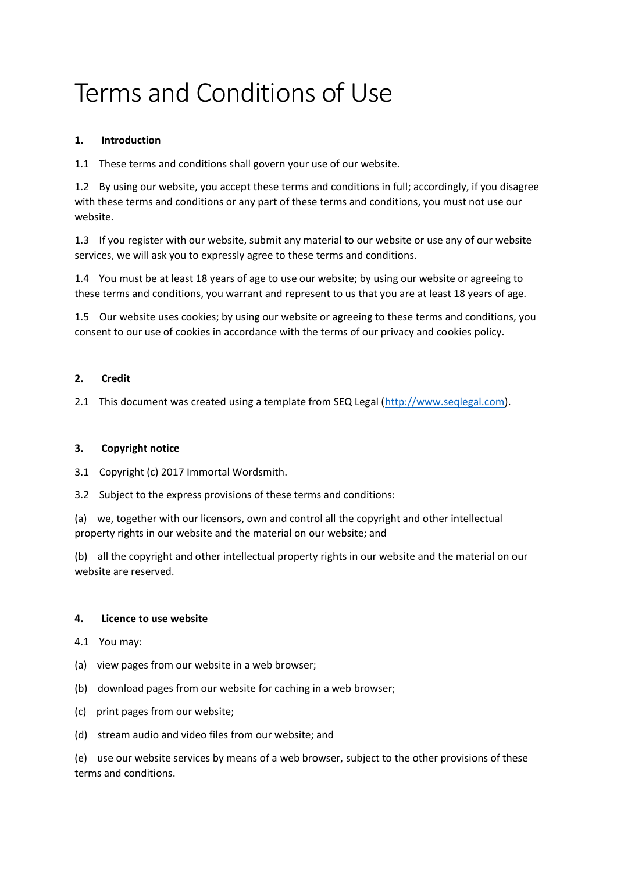# Terms and Conditions of Use

# **1. Introduction**

1.1 These terms and conditions shall govern your use of our website.

1.2 By using our website, you accept these terms and conditions in full; accordingly, if you disagree with these terms and conditions or any part of these terms and conditions, you must not use our website.

1.3 If you register with our website, submit any material to our website or use any of our website services, we will ask you to expressly agree to these terms and conditions.

1.4 You must be at least 18 years of age to use our website; by using our website or agreeing to these terms and conditions, you warrant and represent to us that you are at least 18 years of age.

1.5 Our website uses cookies; by using our website or agreeing to these terms and conditions, you consent to our use of cookies in accordance with the terms of our privacy and cookies policy.

# **2. Credit**

2.1 This document was created using a template from SEQ Legal [\(http://www.seqlegal.com\)](http://www.seqlegal.com/).

# **3. Copyright notice**

3.1 Copyright (c) 2017 Immortal Wordsmith.

3.2 Subject to the express provisions of these terms and conditions:

(a) we, together with our licensors, own and control all the copyright and other intellectual property rights in our website and the material on our website; and

(b) all the copyright and other intellectual property rights in our website and the material on our website are reserved.

#### **4. Licence to use website**

- 4.1 You may:
- (a) view pages from our website in a web browser;
- (b) download pages from our website for caching in a web browser;
- (c) print pages from our website;
- (d) stream audio and video files from our website; and

(e) use our website services by means of a web browser, subject to the other provisions of these terms and conditions.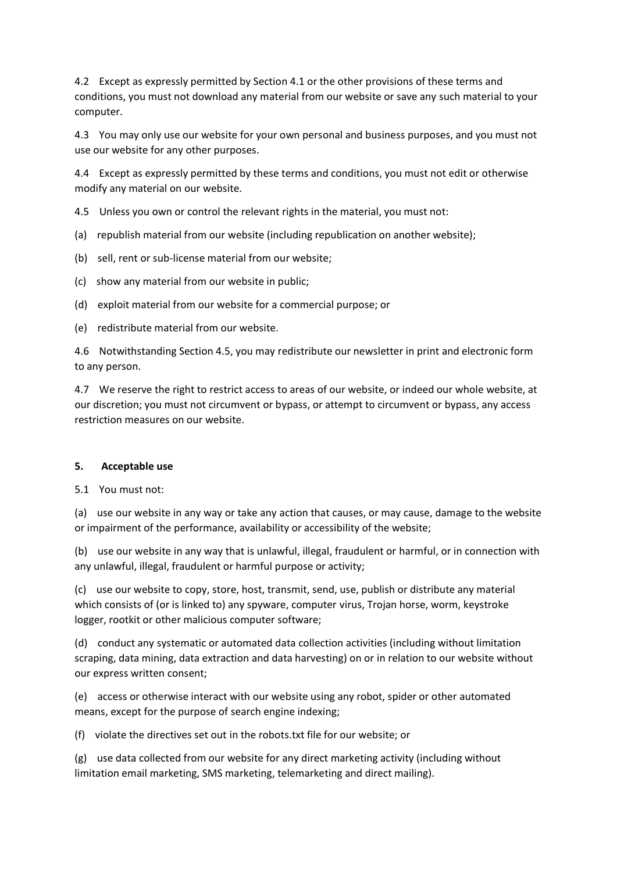4.2 Except as expressly permitted by Section 4.1 or the other provisions of these terms and conditions, you must not download any material from our website or save any such material to your computer.

4.3 You may only use our website for your own personal and business purposes, and you must not use our website for any other purposes.

4.4 Except as expressly permitted by these terms and conditions, you must not edit or otherwise modify any material on our website.

4.5 Unless you own or control the relevant rights in the material, you must not:

- (a) republish material from our website (including republication on another website);
- (b) sell, rent or sub-license material from our website;
- (c) show any material from our website in public;
- (d) exploit material from our website for a commercial purpose; or
- (e) redistribute material from our website.

4.6 Notwithstanding Section 4.5, you may redistribute our newsletter in print and electronic form to any person.

4.7 We reserve the right to restrict access to areas of our website, or indeed our whole website, at our discretion; you must not circumvent or bypass, or attempt to circumvent or bypass, any access restriction measures on our website.

#### **5. Acceptable use**

#### 5.1 You must not:

(a) use our website in any way or take any action that causes, or may cause, damage to the website or impairment of the performance, availability or accessibility of the website;

(b) use our website in any way that is unlawful, illegal, fraudulent or harmful, or in connection with any unlawful, illegal, fraudulent or harmful purpose or activity;

(c) use our website to copy, store, host, transmit, send, use, publish or distribute any material which consists of (or is linked to) any spyware, computer virus, Trojan horse, worm, keystroke logger, rootkit or other malicious computer software;

(d) conduct any systematic or automated data collection activities (including without limitation scraping, data mining, data extraction and data harvesting) on or in relation to our website without our express written consent;

(e) access or otherwise interact with our website using any robot, spider or other automated means, except for the purpose of search engine indexing;

(f) violate the directives set out in the robots.txt file for our website; or

(g) use data collected from our website for any direct marketing activity (including without limitation email marketing, SMS marketing, telemarketing and direct mailing).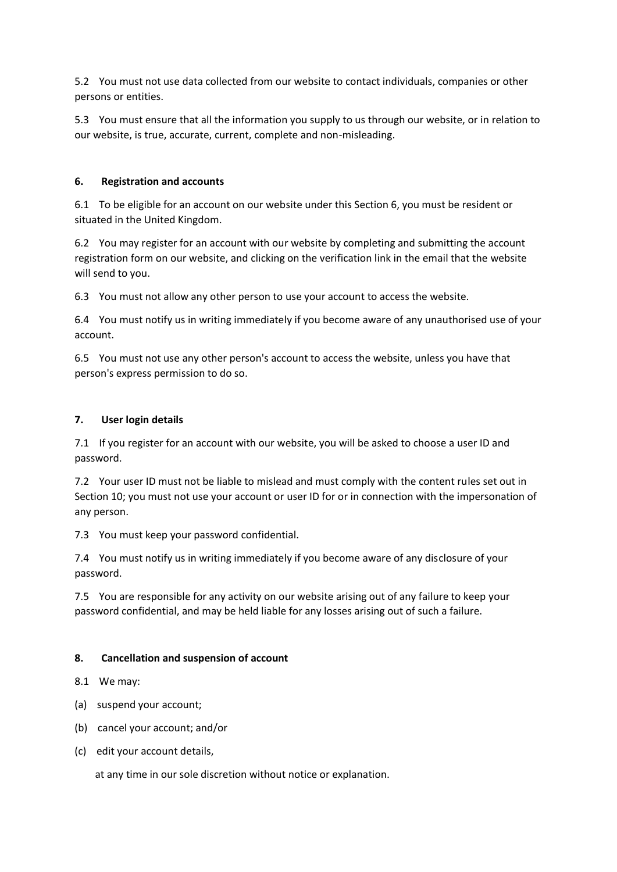5.2 You must not use data collected from our website to contact individuals, companies or other persons or entities.

5.3 You must ensure that all the information you supply to us through our website, or in relation to our website, is true, accurate, current, complete and non-misleading.

## **6. Registration and accounts**

6.1 To be eligible for an account on our website under this Section 6, you must be resident or situated in the United Kingdom.

6.2 You may register for an account with our website by completing and submitting the account registration form on our website, and clicking on the verification link in the email that the website will send to you.

6.3 You must not allow any other person to use your account to access the website.

6.4 You must notify us in writing immediately if you become aware of any unauthorised use of your account.

6.5 You must not use any other person's account to access the website, unless you have that person's express permission to do so.

## **7. User login details**

7.1 If you register for an account with our website, you will be asked to choose a user ID and password.

7.2 Your user ID must not be liable to mislead and must comply with the content rules set out in Section 10; you must not use your account or user ID for or in connection with the impersonation of any person.

7.3 You must keep your password confidential.

7.4 You must notify us in writing immediately if you become aware of any disclosure of your password.

7.5 You are responsible for any activity on our website arising out of any failure to keep your password confidential, and may be held liable for any losses arising out of such a failure.

# **8. Cancellation and suspension of account**

8.1 We may:

- (a) suspend your account;
- (b) cancel your account; and/or
- (c) edit your account details,

at any time in our sole discretion without notice or explanation.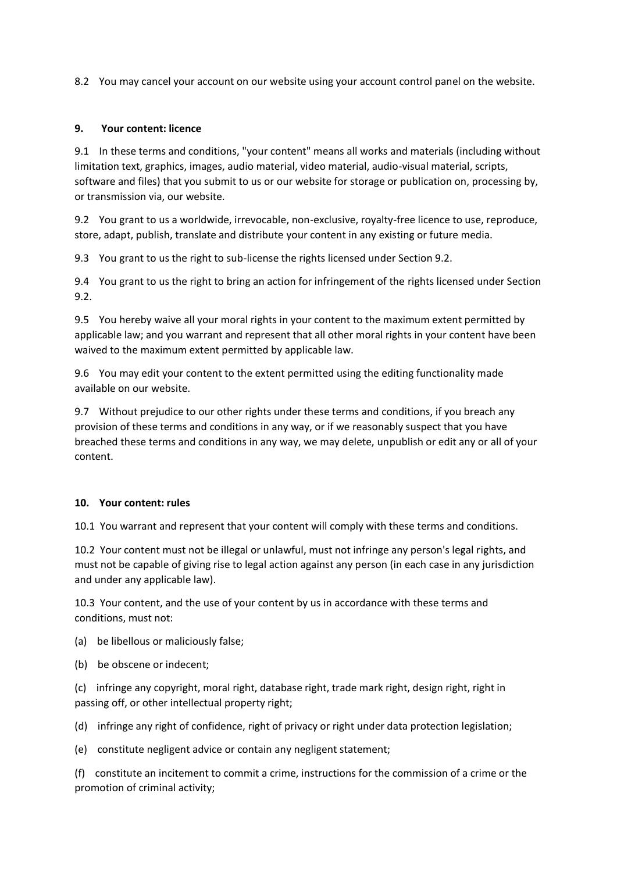8.2 You may cancel your account on our website using your account control panel on the website.

## **9. Your content: licence**

9.1 In these terms and conditions, "your content" means all works and materials (including without limitation text, graphics, images, audio material, video material, audio-visual material, scripts, software and files) that you submit to us or our website for storage or publication on, processing by, or transmission via, our website.

9.2 You grant to us a worldwide, irrevocable, non-exclusive, royalty-free licence to use, reproduce, store, adapt, publish, translate and distribute your content in any existing or future media.

9.3 You grant to us the right to sub-license the rights licensed under Section 9.2.

9.4 You grant to us the right to bring an action for infringement of the rights licensed under Section 9.2.

9.5 You hereby waive all your moral rights in your content to the maximum extent permitted by applicable law; and you warrant and represent that all other moral rights in your content have been waived to the maximum extent permitted by applicable law.

9.6 You may edit your content to the extent permitted using the editing functionality made available on our website.

9.7 Without prejudice to our other rights under these terms and conditions, if you breach any provision of these terms and conditions in any way, or if we reasonably suspect that you have breached these terms and conditions in any way, we may delete, unpublish or edit any or all of your content.

#### **10. Your content: rules**

10.1 You warrant and represent that your content will comply with these terms and conditions.

10.2 Your content must not be illegal or unlawful, must not infringe any person's legal rights, and must not be capable of giving rise to legal action against any person (in each case in any jurisdiction and under any applicable law).

10.3 Your content, and the use of your content by us in accordance with these terms and conditions, must not:

(a) be libellous or maliciously false;

(b) be obscene or indecent;

(c) infringe any copyright, moral right, database right, trade mark right, design right, right in passing off, or other intellectual property right;

(d) infringe any right of confidence, right of privacy or right under data protection legislation;

(e) constitute negligent advice or contain any negligent statement;

(f) constitute an incitement to commit a crime, instructions for the commission of a crime or the promotion of criminal activity;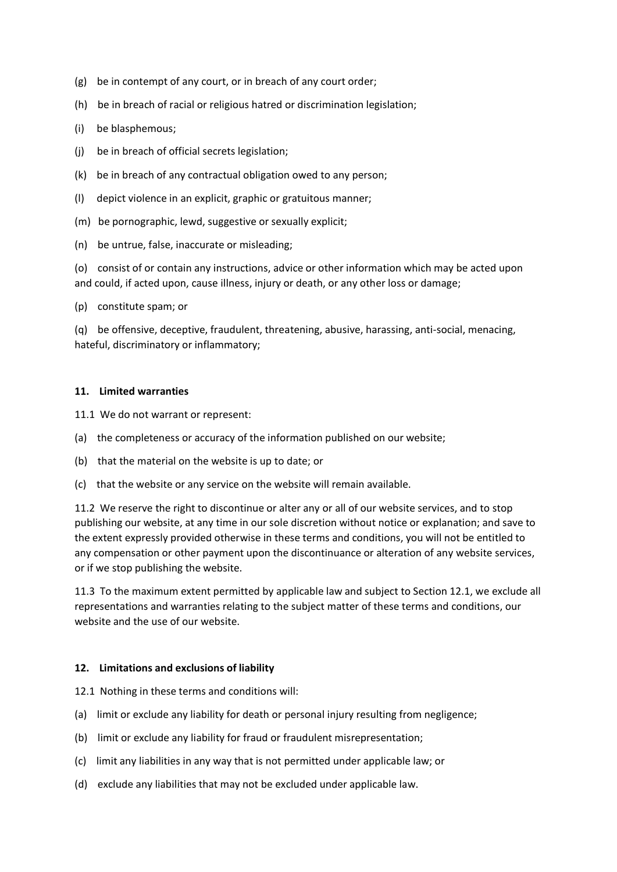- (g) be in contempt of any court, or in breach of any court order;
- (h) be in breach of racial or religious hatred or discrimination legislation;
- (i) be blasphemous;
- (j) be in breach of official secrets legislation;
- (k) be in breach of any contractual obligation owed to any person;
- (l) depict violence in an explicit, graphic or gratuitous manner;
- (m) be pornographic, lewd, suggestive or sexually explicit;
- (n) be untrue, false, inaccurate or misleading;

(o) consist of or contain any instructions, advice or other information which may be acted upon and could, if acted upon, cause illness, injury or death, or any other loss or damage;

(p) constitute spam; or

(q) be offensive, deceptive, fraudulent, threatening, abusive, harassing, anti-social, menacing, hateful, discriminatory or inflammatory;

#### **11. Limited warranties**

- 11.1 We do not warrant or represent:
- (a) the completeness or accuracy of the information published on our website;
- (b) that the material on the website is up to date; or
- (c) that the website or any service on the website will remain available.

11.2 We reserve the right to discontinue or alter any or all of our website services, and to stop publishing our website, at any time in our sole discretion without notice or explanation; and save to the extent expressly provided otherwise in these terms and conditions, you will not be entitled to any compensation or other payment upon the discontinuance or alteration of any website services, or if we stop publishing the website.

11.3 To the maximum extent permitted by applicable law and subject to Section 12.1, we exclude all representations and warranties relating to the subject matter of these terms and conditions, our website and the use of our website.

#### **12. Limitations and exclusions of liability**

12.1 Nothing in these terms and conditions will:

- (a) limit or exclude any liability for death or personal injury resulting from negligence;
- (b) limit or exclude any liability for fraud or fraudulent misrepresentation;
- (c) limit any liabilities in any way that is not permitted under applicable law; or
- (d) exclude any liabilities that may not be excluded under applicable law.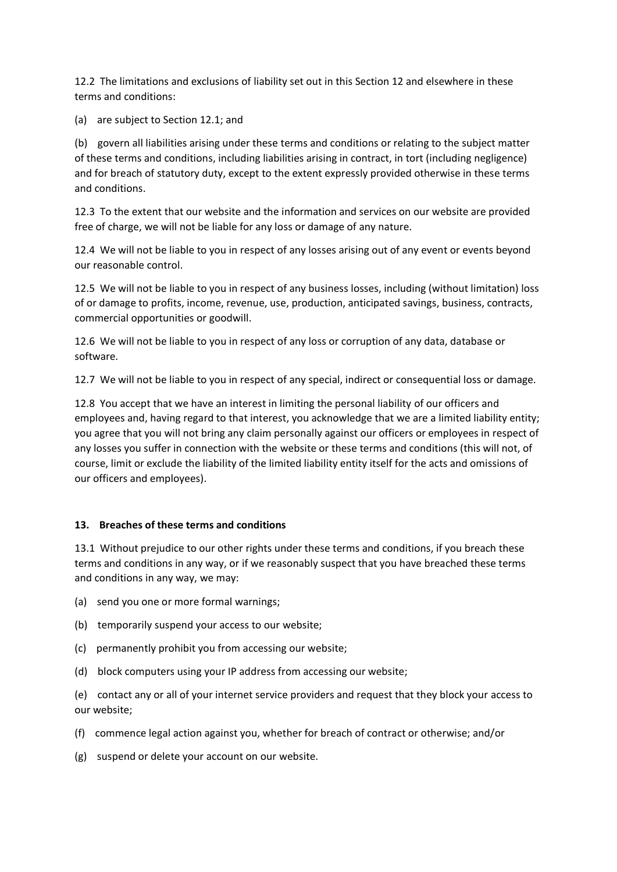12.2 The limitations and exclusions of liability set out in this Section 12 and elsewhere in these terms and conditions:

(a) are subject to Section 12.1; and

(b) govern all liabilities arising under these terms and conditions or relating to the subject matter of these terms and conditions, including liabilities arising in contract, in tort (including negligence) and for breach of statutory duty, except to the extent expressly provided otherwise in these terms and conditions.

12.3 To the extent that our website and the information and services on our website are provided free of charge, we will not be liable for any loss or damage of any nature.

12.4 We will not be liable to you in respect of any losses arising out of any event or events beyond our reasonable control.

12.5 We will not be liable to you in respect of any business losses, including (without limitation) loss of or damage to profits, income, revenue, use, production, anticipated savings, business, contracts, commercial opportunities or goodwill.

12.6 We will not be liable to you in respect of any loss or corruption of any data, database or software.

12.7 We will not be liable to you in respect of any special, indirect or consequential loss or damage.

12.8 You accept that we have an interest in limiting the personal liability of our officers and employees and, having regard to that interest, you acknowledge that we are a limited liability entity; you agree that you will not bring any claim personally against our officers or employees in respect of any losses you suffer in connection with the website or these terms and conditions (this will not, of course, limit or exclude the liability of the limited liability entity itself for the acts and omissions of our officers and employees).

# **13. Breaches of these terms and conditions**

13.1 Without prejudice to our other rights under these terms and conditions, if you breach these terms and conditions in any way, or if we reasonably suspect that you have breached these terms and conditions in any way, we may:

- (a) send you one or more formal warnings;
- (b) temporarily suspend your access to our website;
- (c) permanently prohibit you from accessing our website;
- (d) block computers using your IP address from accessing our website;

(e) contact any or all of your internet service providers and request that they block your access to our website;

- (f) commence legal action against you, whether for breach of contract or otherwise; and/or
- (g) suspend or delete your account on our website.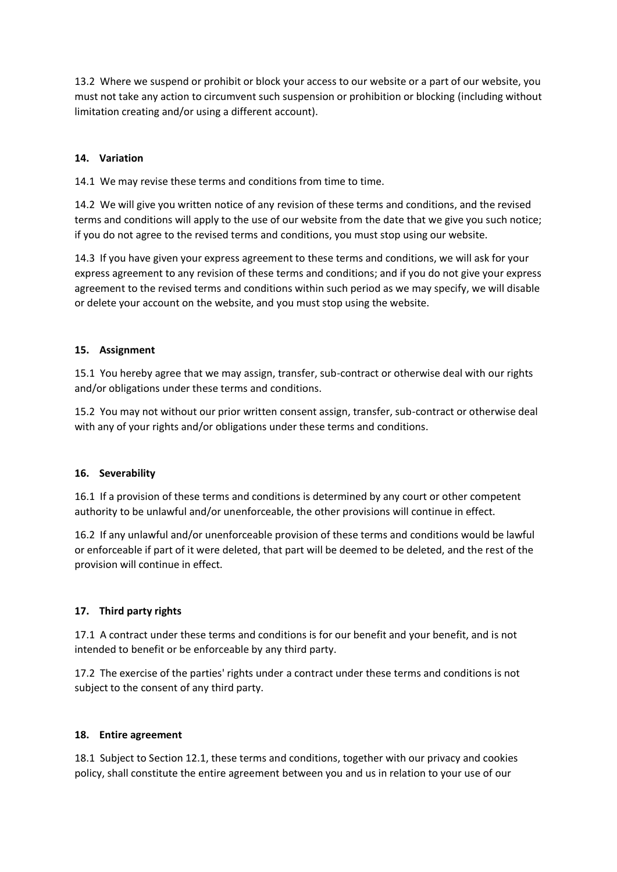13.2 Where we suspend or prohibit or block your access to our website or a part of our website, you must not take any action to circumvent such suspension or prohibition or blocking (including without limitation creating and/or using a different account).

## **14. Variation**

14.1 We may revise these terms and conditions from time to time.

14.2 We will give you written notice of any revision of these terms and conditions, and the revised terms and conditions will apply to the use of our website from the date that we give you such notice; if you do not agree to the revised terms and conditions, you must stop using our website.

14.3 If you have given your express agreement to these terms and conditions, we will ask for your express agreement to any revision of these terms and conditions; and if you do not give your express agreement to the revised terms and conditions within such period as we may specify, we will disable or delete your account on the website, and you must stop using the website.

## **15. Assignment**

15.1 You hereby agree that we may assign, transfer, sub-contract or otherwise deal with our rights and/or obligations under these terms and conditions.

15.2 You may not without our prior written consent assign, transfer, sub-contract or otherwise deal with any of your rights and/or obligations under these terms and conditions.

#### **16. Severability**

16.1 If a provision of these terms and conditions is determined by any court or other competent authority to be unlawful and/or unenforceable, the other provisions will continue in effect.

16.2 If any unlawful and/or unenforceable provision of these terms and conditions would be lawful or enforceable if part of it were deleted, that part will be deemed to be deleted, and the rest of the provision will continue in effect.

# **17. Third party rights**

17.1 A contract under these terms and conditions is for our benefit and your benefit, and is not intended to benefit or be enforceable by any third party.

17.2 The exercise of the parties' rights under a contract under these terms and conditions is not subject to the consent of any third party.

#### **18. Entire agreement**

18.1 Subject to Section 12.1, these terms and conditions, together with our privacy and cookies policy, shall constitute the entire agreement between you and us in relation to your use of our